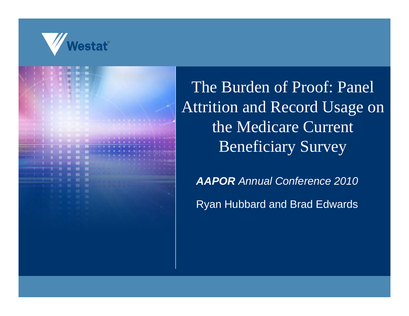

The Burden of Proof: Panel **Attrition and Record Usage on** the Medicare Current **Beneficiary Survey** 

**AAPOR Annual Conference 2010** 

**Ryan Hubbard and Brad Edwards**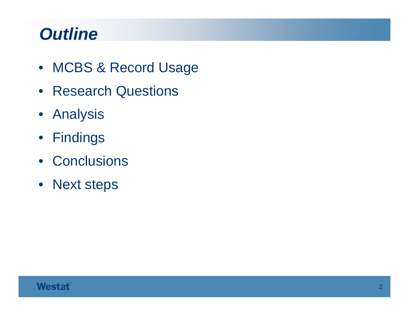## *Outline*

- MCBS & Record Usage
- Research Questions
- Analysis
- Findings
- Conclusions
- Next steps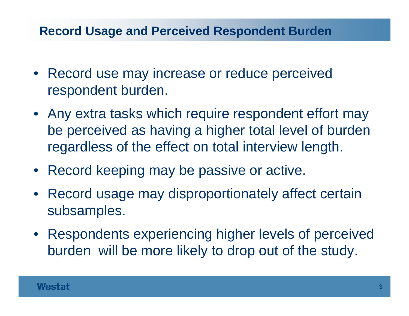#### **Record Usage and Perceived Respondent Burden**

- Record use may increase or reduce perceived respondent burden.
- Any extra tasks which require respondent effort may be perceived as having a higher total level of burden regardless of the effect on total interview length.
- Record keeping may be passive or active.
- Record usage may disproportionately affect certain subsam ples.
- Respondents experiencing higher levels of perceived burden will be more likely to drop out of the study.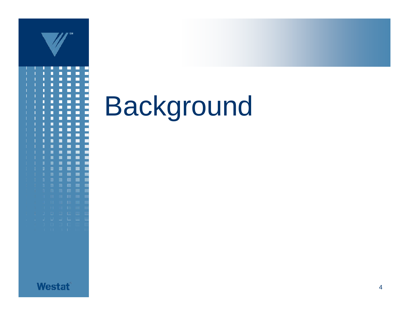

Background

**Westat**<sup>®</sup>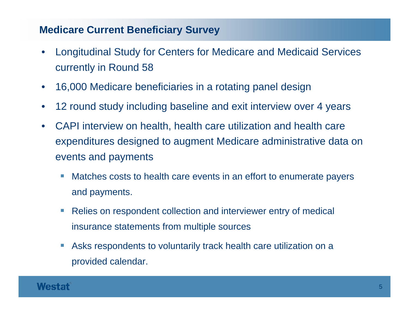#### **Medicare Current Beneficiary Survey**

- • Longitudinal Study for Centers for Medicare and Medicaid Services currently in Round 58
- $\bullet$ 16,000 Medicare beneficiaries in a rotating panel design
- •12 round study including baseline and exit interview over 4 years
- $\bullet$  CAPI interview on health, health care utilization and health care expenditures designed to augment Medicare administrative data on events and payments
	- Matches costs to health care events in an effort to enumerate payers and payments.
	- $\mathcal{L}_{\mathcal{A}}$  Relies on respondent collection and interviewer entry of medical insurance statements from multiple sources
	- $\mathcal{L}_{\mathcal{A}}$  Asks respondents to voluntarily track health care utilization on a provided calendar.

#### Westat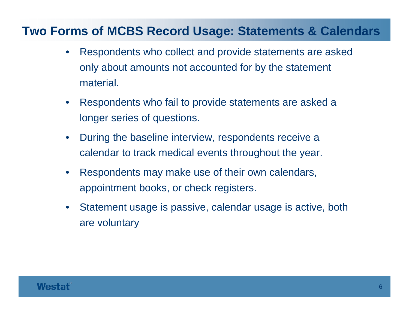#### **Two Forms of MCBS Record Usage: Statements & Calendars**

- • Respondents who collect and provide statements are asked only about amounts not accounted for by the statement material.
- $\bullet$  Respondents who fail to provide statements are asked a longer series of questions.
- $\bullet$  $\bullet$  During the baseline interview, respondents receive a calendar to track medical events throughout the year.
- $\bullet$ Respondents may make use of their own calendars, appointment books, or check registers.
- $\bullet$  Statement usage is passive, calendar usage is active, both are voluntary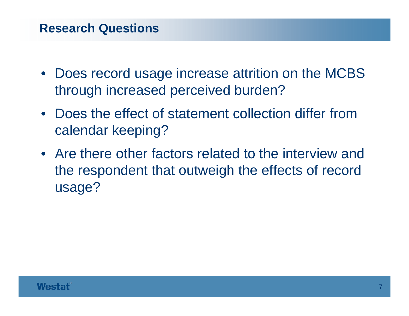- Does record usage increase attrition on the MCBS through increased perceived burden?
- Does the effect of statement collection differ from calendar keeping?
- Are there other factors related to the interview and the respondent that outweigh the effects of record usage?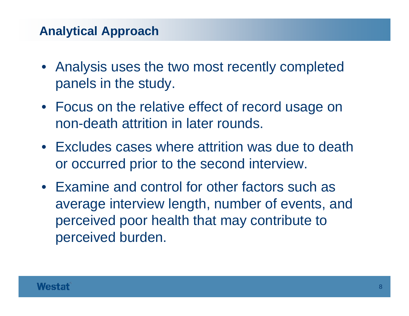#### **Analytical Approach**

- Analysis uses the two most recently completed panels in the study.
- Focus on the relative effect of record usage on non-death attrition in later rounds.
- Excludes cases where attrition was due to death or occurred prior to the second interview.
- Examine and control for other factors such as average interview length, number of events, and perceived poor health that may contribute to perceived burden.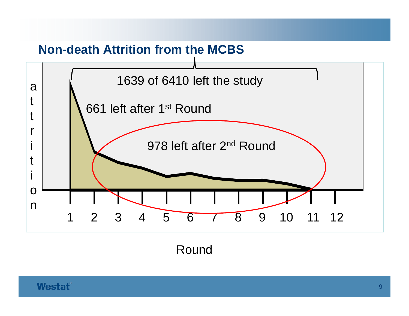

Round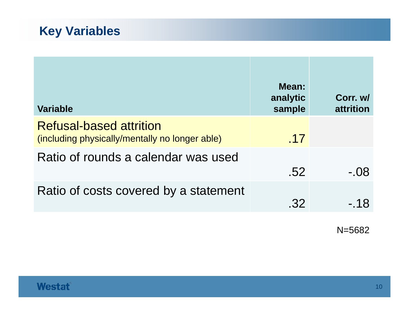### **Key Variables**

| <b>Variable</b>                                                                  | Mean:<br>analytic<br>sample | Corr. w/<br>attrition |
|----------------------------------------------------------------------------------|-----------------------------|-----------------------|
| <b>Refusal-based attrition</b><br>(including physically/mentally no longer able) | .17                         |                       |
| Ratio of rounds a calendar was used                                              | .52                         | - 08                  |
| Ratio of costs covered by a statement                                            | .32                         | - 18                  |

N=5682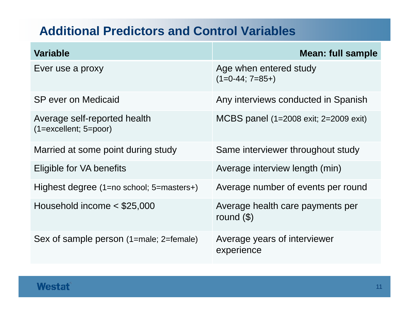#### **Additional Predictors and Control Variables**

| <b>Variable</b>                                         | Mean: full sample                                |
|---------------------------------------------------------|--------------------------------------------------|
| Ever use a proxy                                        | Age when entered study<br>$(1=0-44; 7=85+)$      |
| SP ever on Medicaid                                     | Any interviews conducted in Spanish              |
| Average self-reported health<br>$(1=excellent; 5=poor)$ | MCBS panel (1=2008 exit; 2=2009 exit)            |
| Married at some point during study                      | Same interviewer throughout study                |
| Eligible for VA benefits                                | Average interview length (min)                   |
| Highest degree $(1=no \text{ school}; 5=masters+)$      | Average number of events per round               |
| Household income $<$ \$25,000                           | Average health care payments per<br>round $(\$)$ |
| Sex of sample person (1=male; 2=female)                 | Average years of interviewer<br>experience       |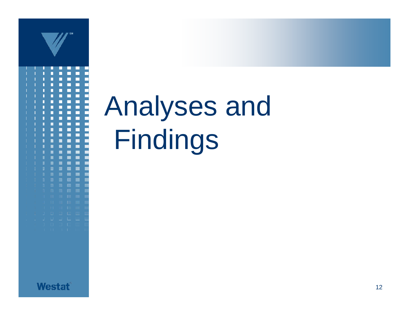

# Analyses and Findings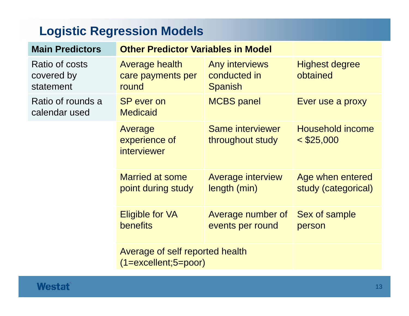## **Logistic Regression Models**

| <b>Main Predictors</b>                    | <b>Other Predictor Variables in Model</b>                  |                                                  |                                         |
|-------------------------------------------|------------------------------------------------------------|--------------------------------------------------|-----------------------------------------|
| Ratio of costs<br>covered by<br>statement | Average health<br>care payments per<br>round               | Any interviews<br>conducted in<br><b>Spanish</b> | <b>Highest degree</b><br>obtained       |
| Ratio of rounds a<br>calendar used        | <b>SP</b> ever on<br><b>Medicaid</b>                       | <b>MCBS</b> panel                                | Ever use a proxy                        |
|                                           | Average<br>experience of<br>interviewer                    | Same interviewer<br>throughout study             | Household income<br>$<$ \$25,000        |
|                                           | <b>Married at some</b><br>point during study               | <b>Average interview</b><br>length (min)         | Age when entered<br>study (categorical) |
|                                           | <b>Eligible for VA</b><br>benefits                         | Average number of<br>events per round            | Sex of sample<br>person                 |
|                                           | Average of self reported health<br>$(1=excellent; 5=poor)$ |                                                  |                                         |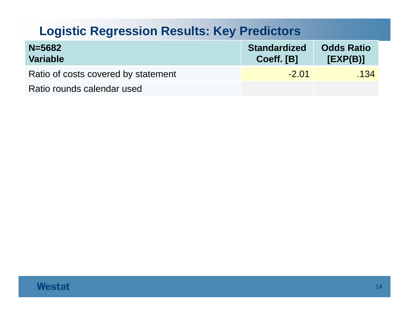#### **Logistic Regression Results: Key Predictors**

| $N = 5682$<br><b>Variable</b>       | <b>Standardized</b><br>Coeff. [B] | <b>Odds Ratio</b><br>[EXP(B)] |
|-------------------------------------|-----------------------------------|-------------------------------|
| Ratio of costs covered by statement | $-2.01$                           | .134                          |
| Ratio rounds calendar used          |                                   |                               |

#### **Westat®**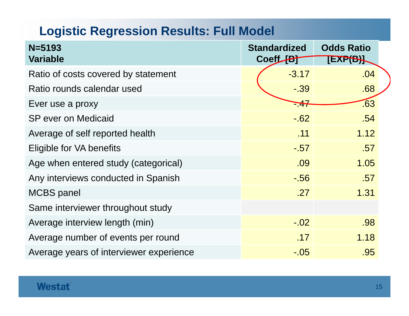## **Logistic Regression Results: Full Model**

| $N = 5193$<br><b>Variable</b>           | <b>Standardized</b><br>Coeff [B] | <b>Odds Ratio</b><br>EXP(B) |  |
|-----------------------------------------|----------------------------------|-----------------------------|--|
|                                         |                                  |                             |  |
| Ratio of costs covered by statement     | $-3.17$                          | .04                         |  |
| Ratio rounds calendar used              | $-39$                            | .68                         |  |
| Ever use a proxy                        | <del>747</del>                   | .63                         |  |
| <b>SP</b> ever on Medicaid              | $-62$                            | .54                         |  |
| Average of self reported health         | .11                              | 1.12                        |  |
| Eligible for VA benefits                | $-0.57$                          | .57                         |  |
| Age when entered study (categorical)    | .09                              | 1.05                        |  |
| Any interviews conducted in Spanish     | $-0.56$                          | .57                         |  |
| <b>MCBS</b> panel                       | .27                              | 1.31                        |  |
| Same interviewer throughout study       |                                  |                             |  |
| Average interview length (min)          | $-.02$                           | .98                         |  |
| Average number of events per round      | .17                              | 1.18                        |  |
| Average years of interviewer experience | $-.05$                           | .95                         |  |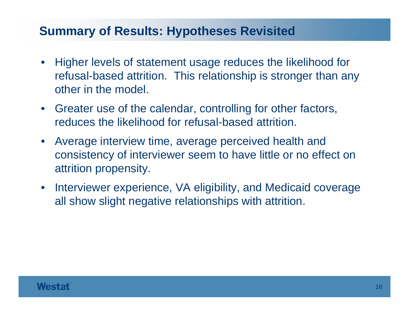#### **Summary of Results: Hypotheses Revisited**

- $\bullet$ • Higher levels of statement usage reduces the likelihood for refusal-based attrition. This relationship is stronger than any other in the model.
- Greater use of the calendar, controlling for other factors, reduces the likelihood for refusal-based attrition.
- Average interview time, average perceived health and consistency of interviewer seem to have little or no effect on attrition propensity.
- $\bullet$  Interviewer experience, VA eligibility, and Medicaid coverage all show slight negative relationships with attrition.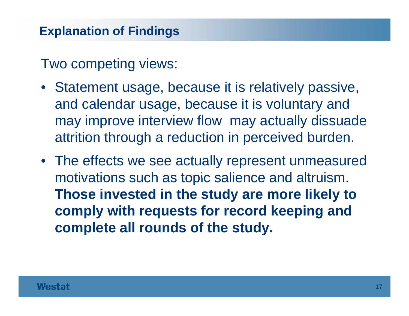Two competing views:

- Statement usage, because it is relatively passive, and calendar usage, because it is voluntary and may improve interview flow may actually dissuade attrition through a reduction in perceived burden.
- The effects we see actually represent unmeasured motivations such as topic salience and altruism. **Those invested in the study are more likely to comply with requests for record keeping and complete all rounds of the study.**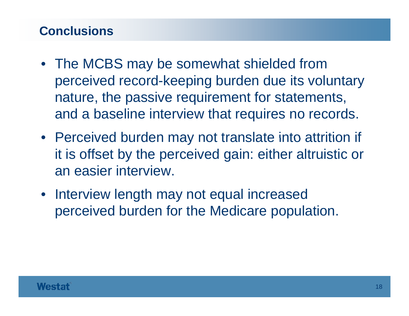#### **Conclusions**

- The MCBS may be somewhat shielded from perceived record-keeping burden due its voluntary nature, the passive requirement for statements, and a baseline interview that requires no records.
- Perceived burden may not translate into attrition if it is offset by the perceived gain: either altruistic or an easier interview.
- Interview length may not equal increased perceived burden for the Medicare population.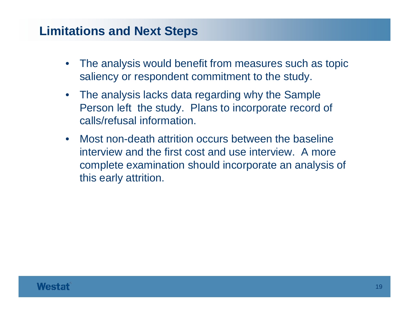#### **Limitations and Next Steps**

- • The analysis would benefit from measures such as topic saliency or respondent commitment to the study.
- • The analysis lacks data regarding why the Sample Person left the study. Plans to incorporate record of calls/refusal information.
- $\bullet$ • Most non-death attrition occurs between the baseline interview and the first cost and use interview. A more complete examination should incorporate an analysis of this early attrition.